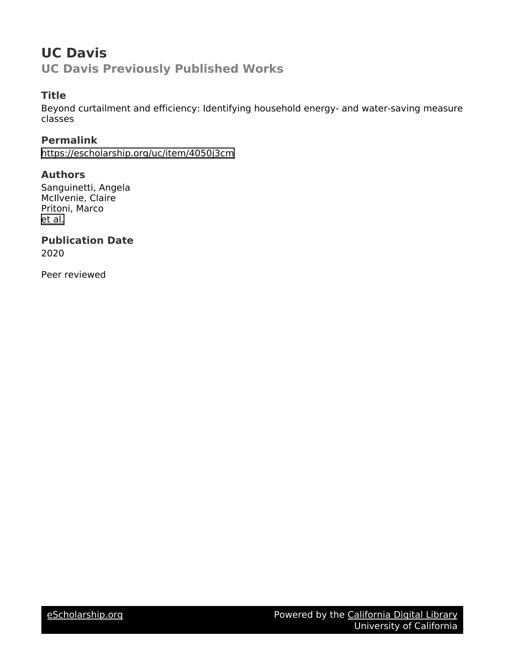# **UC Davis UC Davis Previously Published Works**

# **Title**

Beyond curtailment and efficiency: Identifying household energy- and water-saving measure classes

**Permalink** <https://escholarship.org/uc/item/4050j3cm>

**Authors** Sanguinetti, Angela McIlvenie, Claire Pritoni, Marco [et al.](https://escholarship.org/uc/item/4050j3cm#author)

**Publication Date** 2020

Peer reviewed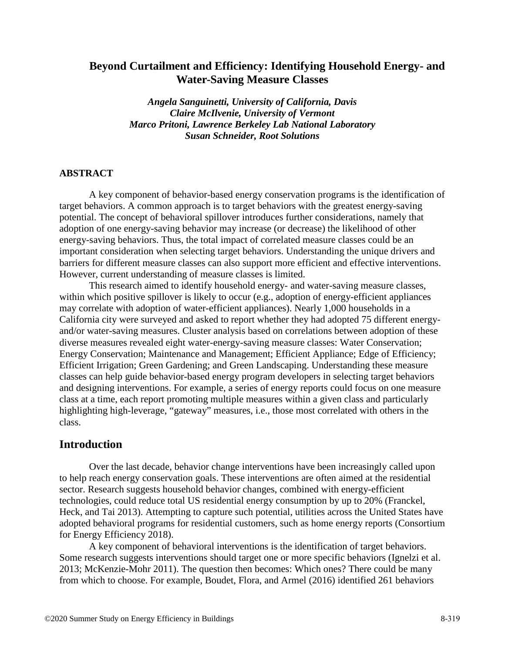# **Beyond Curtailment and Efficiency: Identifying Household Energy- and Water-Saving Measure Classes**

*Angela Sanguinetti, University of California, Davis Claire McIlvenie, University of Vermont Marco Pritoni, Lawrence Berkeley Lab National Laboratory Susan Schneider, Root Solutions*

### **ABSTRACT**

A key component of behavior-based energy conservation programs is the identification of target behaviors. A common approach is to target behaviors with the greatest energy-saving potential. The concept of behavioral spillover introduces further considerations, namely that adoption of one energy-saving behavior may increase (or decrease) the likelihood of other energy-saving behaviors. Thus, the total impact of correlated measure classes could be an important consideration when selecting target behaviors. Understanding the unique drivers and barriers for different measure classes can also support more efficient and effective interventions. However, current understanding of measure classes is limited.

This research aimed to identify household energy- and water-saving measure classes, within which positive spillover is likely to occur (e.g., adoption of energy-efficient appliances may correlate with adoption of water-efficient appliances). Nearly 1,000 households in a California city were surveyed and asked to report whether they had adopted 75 different energyand/or water-saving measures. Cluster analysis based on correlations between adoption of these diverse measures revealed eight water-energy-saving measure classes: Water Conservation; Energy Conservation; Maintenance and Management; Efficient Appliance; Edge of Efficiency; Efficient Irrigation; Green Gardening; and Green Landscaping. Understanding these measure classes can help guide behavior-based energy program developers in selecting target behaviors and designing interventions. For example, a series of energy reports could focus on one measure class at a time, each report promoting multiple measures within a given class and particularly highlighting high-leverage, "gateway" measures, i.e., those most correlated with others in the class.

## **Introduction**

Over the last decade, behavior change interventions have been increasingly called upon to help reach energy conservation goals. These interventions are often aimed at the residential sector. Research suggests household behavior changes, combined with energy-efficient technologies, could reduce total US residential energy consumption by up to 20% (Franckel, Heck, and Tai 2013). Attempting to capture such potential, utilities across the United States have adopted behavioral programs for residential customers, such as home energy reports (Consortium for Energy Efficiency 2018).

A key component of behavioral interventions is the identification of target behaviors. Some research suggests interventions should target one or more specific behaviors (Ignelzi et al. 2013; McKenzie-Mohr 2011). The question then becomes: Which ones? There could be many from which to choose. For example, Boudet, Flora, and Armel (2016) identified 261 behaviors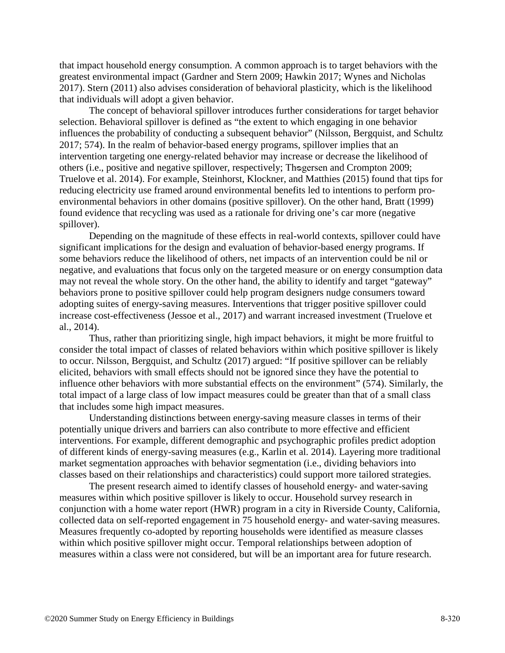that impact household energy consumption. A common approach is to target behaviors with the greatest environmental impact (Gardner and Stern 2009; Hawkin 2017; Wynes and Nicholas 2017). Stern (2011) also advises consideration of behavioral plasticity, which is the likelihood that individuals will adopt a given behavior.

The concept of behavioral spillover introduces further considerations for target behavior selection. Behavioral spillover is defined as "the extent to which engaging in one behavior influences the probability of conducting a subsequent behavior" (Nilsson, Bergquist, and Schultz 2017; 574). In the realm of behavior-based energy programs, spillover implies that an intervention targeting one energy-related behavior may increase or decrease the likelihood of others (i.e., positive and negative spillover, respectively; Thogersen and Crompton 2009; Truelove et al. 2014). For example, Steinhorst, Klockner, and Matthies (2015) found that tips for reducing electricity use framed around environmental benefits led to intentions to perform proenvironmental behaviors in other domains (positive spillover). On the other hand, Bratt (1999) found evidence that recycling was used as a rationale for driving one's car more (negative spillover).

Depending on the magnitude of these effects in real-world contexts, spillover could have significant implications for the design and evaluation of behavior-based energy programs. If some behaviors reduce the likelihood of others, net impacts of an intervention could be nil or negative, and evaluations that focus only on the targeted measure or on energy consumption data may not reveal the whole story. On the other hand, the ability to identify and target "gateway" behaviors prone to positive spillover could help program designers nudge consumers toward adopting suites of energy-saving measures. Interventions that trigger positive spillover could increase cost-effectiveness (Jessoe et al., 2017) and warrant increased investment (Truelove et al., 2014).

Thus, rather than prioritizing single, high impact behaviors, it might be more fruitful to consider the total impact of classes of related behaviors within which positive spillover is likely to occur. Nilsson, Bergquist, and Schultz (2017) argued: "If positive spillover can be reliably elicited, behaviors with small effects should not be ignored since they have the potential to influence other behaviors with more substantial effects on the environment" (574). Similarly, the total impact of a large class of low impact measures could be greater than that of a small class that includes some high impact measures.

Understanding distinctions between energy-saving measure classes in terms of their potentially unique drivers and barriers can also contribute to more effective and efficient interventions. For example, different demographic and psychographic profiles predict adoption of different kinds of energy-saving measures (e.g., Karlin et al. 2014). Layering more traditional market segmentation approaches with behavior segmentation (i.e., dividing behaviors into classes based on their relationships and characteristics) could support more tailored strategies.

The present research aimed to identify classes of household energy- and water-saving measures within which positive spillover is likely to occur. Household survey research in conjunction with a home water report (HWR) program in a city in Riverside County, California, collected data on self-reported engagement in 75 household energy- and water-saving measures. Measures frequently co-adopted by reporting households were identified as measure classes within which positive spillover might occur. Temporal relationships between adoption of measures within a class were not considered, but will be an important area for future research.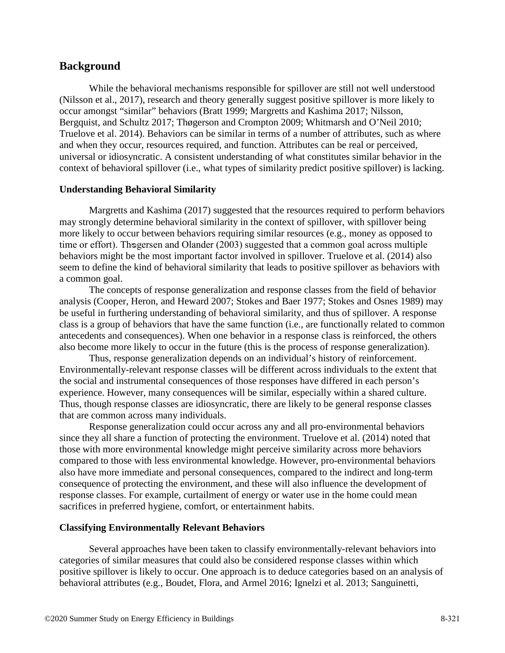# **Background**

While the behavioral mechanisms responsible for spillover are still not well understood (Nilsson et al., 2017), research and theory generally suggest positive spillover is more likely to occur amongst "similar" behaviors (Bratt 1999; Margretts and Kashima 2017; Nilsson, Bergquist, and Schultz 2017; Thøgerson and Crompton 2009; Whitmarsh and O'Neil 2010; Truelove et al. 2014). Behaviors can be similar in terms of a number of attributes, such as where and when they occur, resources required, and function. Attributes can be real or perceived, universal or idiosyncratic. A consistent understanding of what constitutes similar behavior in the context of behavioral spillover (i.e., what types of similarity predict positive spillover) is lacking.

#### **Understanding Behavioral Similarity**

Margretts and Kashima (2017) suggested that the resources required to perform behaviors may strongly determine behavioral similarity in the context of spillover, with spillover being more likely to occur between behaviors requiring similar resources (e.g., money as opposed to time or effort). Thogersen and Olander (2003) suggested that a common goal across multiple behaviors might be the most important factor involved in spillover. Truelove et al. (2014) also seem to define the kind of behavioral similarity that leads to positive spillover as behaviors with a common goal.

The concepts of response generalization and response classes from the field of behavior analysis (Cooper, Heron, and Heward 2007; Stokes and Baer 1977; Stokes and Osnes 1989) may be useful in furthering understanding of behavioral similarity, and thus of spillover. A response class is a group of behaviors that have the same function (i.e., are functionally related to common antecedents and consequences). When one behavior in a response class is reinforced, the others also become more likely to occur in the future (this is the process of response generalization).

Thus, response generalization depends on an individual's history of reinforcement. Environmentally-relevant response classes will be different across individuals to the extent that the social and instrumental consequences of those responses have differed in each person's experience. However, many consequences will be similar, especially within a shared culture. Thus, though response classes are idiosyncratic, there are likely to be general response classes that are common across many individuals.

Response generalization could occur across any and all pro-environmental behaviors since they all share a function of protecting the environment. Truelove et al. (2014) noted that those with more environmental knowledge might perceive similarity across more behaviors compared to those with less environmental knowledge. However, pro-environmental behaviors also have more immediate and personal consequences, compared to the indirect and long-term consequence of protecting the environment, and these will also influence the development of response classes. For example, curtailment of energy or water use in the home could mean sacrifices in preferred hygiene, comfort, or entertainment habits.

### **Classifying Environmentally Relevant Behaviors**

Several approaches have been taken to classify environmentally-relevant behaviors into categories of similar measures that could also be considered response classes within which positive spillover is likely to occur. One approach is to deduce categories based on an analysis of behavioral attributes (e.g., Boudet, Flora, and Armel 2016; Ignelzi et al. 2013; Sanguinetti,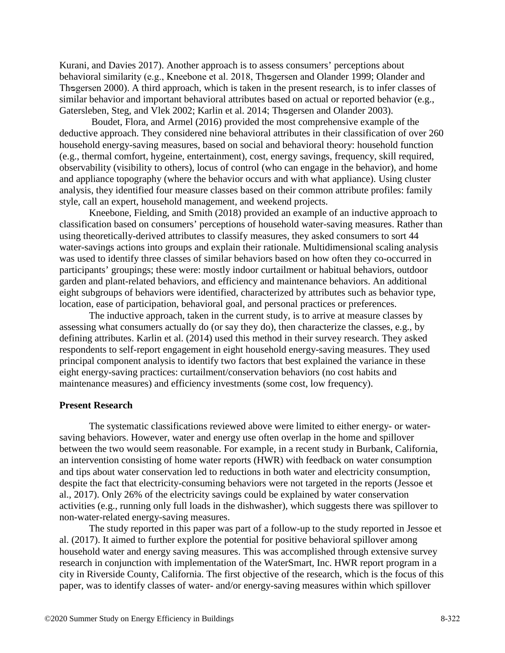Kurani, and Davies 2017). Another approach is to assess consumers' perceptions about behavioral similarity (e.g., Kneebone et al. 2018, Thogersen and Olander 1999; Olander and Thogersen 2000). A third approach, which is taken in the present research, is to infer classes of similar behavior and important behavioral attributes based on actual or reported behavior (e.g., Gatersleben, Steg, and Vlek 2002; Karlin et al. 2014; Thogersen and Olander 2003).

Boudet, Flora, and Armel (2016) provided the most comprehensive example of the deductive approach. They considered nine behavioral attributes in their classification of over 260 household energy-saving measures, based on social and behavioral theory: household function (e.g., thermal comfort, hygeine, entertainment), cost, energy savings, frequency, skill required, observability (visibility to others), locus of control (who can engage in the behavior), and home and appliance topography (where the behavior occurs and with what appliance). Using cluster analysis, they identified four measure classes based on their common attribute profiles: family style, call an expert, household management, and weekend projects.

Kneebone, Fielding, and Smith (2018) provided an example of an inductive approach to classification based on consumers' perceptions of household water-saving measures. Rather than using theoretically-derived attributes to classify measures, they asked consumers to sort 44 water-savings actions into groups and explain their rationale. Multidimensional scaling analysis was used to identify three classes of similar behaviors based on how often they co-occurred in participants' groupings; these were: mostly indoor curtailment or habitual behaviors, outdoor garden and plant-related behaviors, and efficiency and maintenance behaviors. An additional eight subgroups of behaviors were identified, characterized by attributes such as behavior type, location, ease of participation, behavioral goal, and personal practices or preferences.

The inductive approach, taken in the current study, is to arrive at measure classes by assessing what consumers actually do (or say they do), then characterize the classes, e.g., by defining attributes. Karlin et al. (2014) used this method in their survey research. They asked respondents to self-report engagement in eight household energy-saving measures. They used principal component analysis to identify two factors that best explained the variance in these eight energy-saving practices: curtailment/conservation behaviors (no cost habits and maintenance measures) and efficiency investments (some cost, low frequency).

#### **Present Research**

The systematic classifications reviewed above were limited to either energy- or watersaving behaviors. However, water and energy use often overlap in the home and spillover between the two would seem reasonable. For example, in a recent study in Burbank, California, an intervention consisting of home water reports (HWR) with feedback on water consumption and tips about water conservation led to reductions in both water and electricity consumption, despite the fact that electricity-consuming behaviors were not targeted in the reports (Jessoe et al., 2017). Only 26% of the electricity savings could be explained by water conservation activities (e.g., running only full loads in the dishwasher), which suggests there was spillover to non-water-related energy-saving measures.

The study reported in this paper was part of a follow-up to the study reported in Jessoe et al. (2017). It aimed to further explore the potential for positive behavioral spillover among household water and energy saving measures. This was accomplished through extensive survey research in conjunction with implementation of the WaterSmart, Inc. HWR report program in a city in Riverside County, California. The first objective of the research, which is the focus of this paper, was to identify classes of water- and/or energy-saving measures within which spillover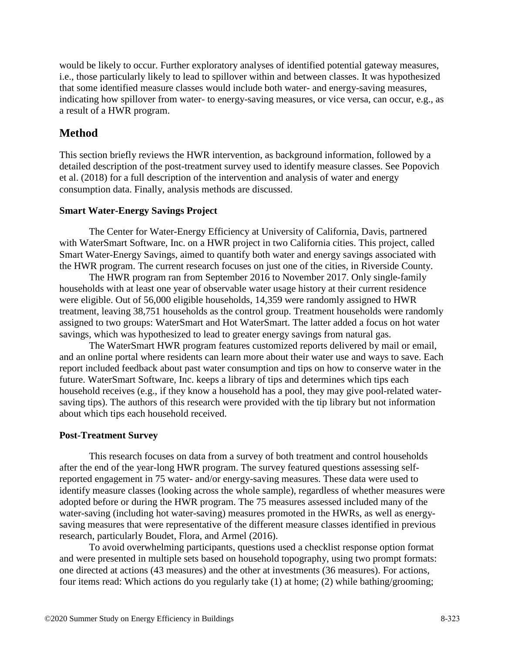would be likely to occur. Further exploratory analyses of identified potential gateway measures, i.e., those particularly likely to lead to spillover within and between classes. It was hypothesized that some identified measure classes would include both water- and energy-saving measures, indicating how spillover from water- to energy-saving measures, or vice versa, can occur, e.g., as a result of a HWR program.

# **Method**

This section briefly reviews the HWR intervention, as background information, followed by a detailed description of the post-treatment survey used to identify measure classes. See Popovich et al. (2018) for a full description of the intervention and analysis of water and energy consumption data. Finally, analysis methods are discussed.

#### **Smart Water-Energy Savings Project**

The Center for Water-Energy Efficiency at University of California, Davis, partnered with WaterSmart Software, Inc. on a HWR project in two California cities. This project, called Smart Water-Energy Savings, aimed to quantify both water and energy savings associated with the HWR program. The current research focuses on just one of the cities, in Riverside County.

The HWR program ran from September 2016 to November 2017. Only single-family households with at least one year of observable water usage history at their current residence were eligible. Out of 56,000 eligible households, 14,359 were randomly assigned to HWR treatment, leaving 38,751 households as the control group. Treatment households were randomly assigned to two groups: WaterSmart and Hot WaterSmart. The latter added a focus on hot water savings, which was hypothesized to lead to greater energy savings from natural gas.

The WaterSmart HWR program features customized reports delivered by mail or email, and an online portal where residents can learn more about their water use and ways to save. Each report included feedback about past water consumption and tips on how to conserve water in the future. WaterSmart Software, Inc. keeps a library of tips and determines which tips each household receives (e.g., if they know a household has a pool, they may give pool-related watersaving tips). The authors of this research were provided with the tip library but not information about which tips each household received.

#### **Post-Treatment Survey**

This research focuses on data from a survey of both treatment and control households after the end of the year-long HWR program. The survey featured questions assessing selfreported engagement in 75 water- and/or energy-saving measures. These data were used to identify measure classes (looking across the whole sample), regardless of whether measures were adopted before or during the HWR program. The 75 measures assessed included many of the water-saving (including hot water-saving) measures promoted in the HWRs, as well as energysaving measures that were representative of the different measure classes identified in previous research, particularly Boudet, Flora, and Armel (2016).

To avoid overwhelming participants, questions used a checklist response option format and were presented in multiple sets based on household topography, using two prompt formats: one directed at actions (43 measures) and the other at investments (36 measures). For actions, four items read: Which actions do you regularly take (1) at home; (2) while bathing/grooming;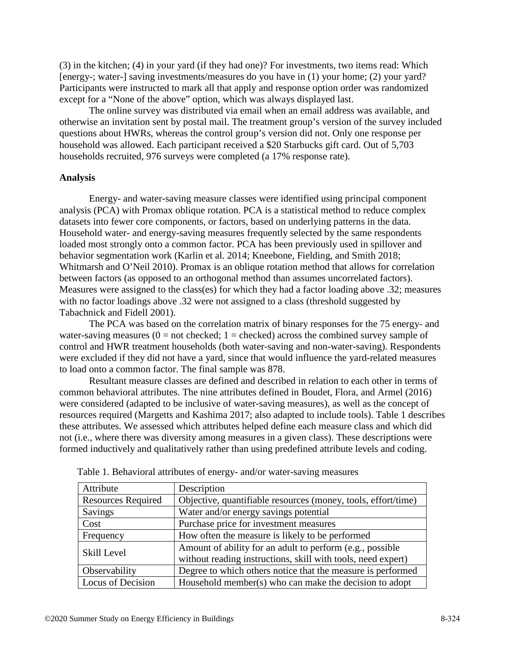(3) in the kitchen; (4) in your yard (if they had one)? For investments, two items read: Which [energy-; water-] saving investments/measures do you have in (1) your home; (2) your yard? Participants were instructed to mark all that apply and response option order was randomized except for a "None of the above" option, which was always displayed last.

The online survey was distributed via email when an email address was available, and otherwise an invitation sent by postal mail. The treatment group's version of the survey included questions about HWRs, whereas the control group's version did not. Only one response per household was allowed. Each participant received a \$20 Starbucks gift card. Out of 5,703 households recruited, 976 surveys were completed (a 17% response rate).

#### **Analysis**

Energy- and water-saving measure classes were identified using principal component analysis (PCA) with Promax oblique rotation. PCA is a statistical method to reduce complex datasets into fewer core components, or factors, based on underlying patterns in the data. Household water- and energy-saving measures frequently selected by the same respondents loaded most strongly onto a common factor. PCA has been previously used in spillover and behavior segmentation work (Karlin et al. 2014; Kneebone, Fielding, and Smith 2018; Whitmarsh and O'Neil 2010). Promax is an oblique rotation method that allows for correlation between factors (as opposed to an orthogonal method than assumes uncorrelated factors). Measures were assigned to the class(es) for which they had a factor loading above .32; measures with no factor loadings above .32 were not assigned to a class (threshold suggested by Tabachnick and Fidell 2001).

The PCA was based on the correlation matrix of binary responses for the 75 energy- and water-saving measures ( $0 = not$  checked;  $1 =$  checked) across the combined survey sample of control and HWR treatment households (both water-saving and non-water-saving). Respondents were excluded if they did not have a yard, since that would influence the yard-related measures to load onto a common factor. The final sample was 878.

Resultant measure classes are defined and described in relation to each other in terms of common behavioral attributes. The nine attributes defined in Boudet, Flora, and Armel (2016) were considered (adapted to be inclusive of water-saving measures), as well as the concept of resources required (Margetts and Kashima 2017; also adapted to include tools). Table 1 describes these attributes. We assessed which attributes helped define each measure class and which did not (i.e., where there was diversity among measures in a given class). These descriptions were formed inductively and qualitatively rather than using predefined attribute levels and coding.

| Attribute                 | Description                                                   |
|---------------------------|---------------------------------------------------------------|
| <b>Resources Required</b> | Objective, quantifiable resources (money, tools, effort/time) |
| Savings                   | Water and/or energy savings potential                         |
| Cost                      | Purchase price for investment measures                        |
| Frequency                 | How often the measure is likely to be performed               |
| Skill Level               | Amount of ability for an adult to perform (e.g., possible     |
|                           | without reading instructions, skill with tools, need expert)  |
| Observability             | Degree to which others notice that the measure is performed   |
| <b>Locus of Decision</b>  | Household member(s) who can make the decision to adopt        |

Table 1. Behavioral attributes of energy- and/or water-saving measures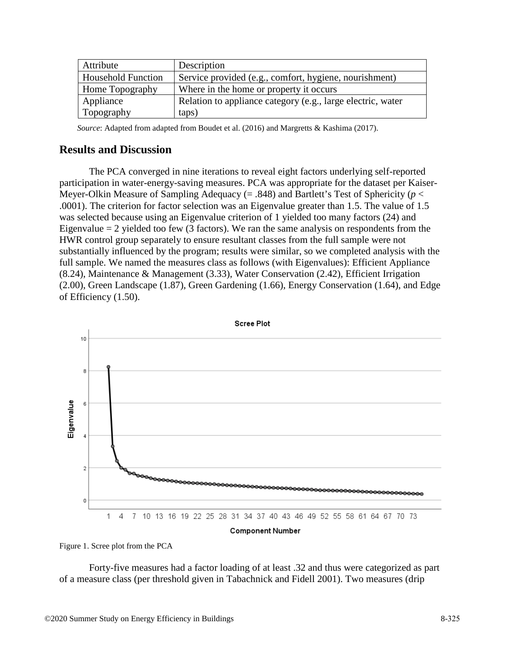| Attribute                 | Description                                                 |
|---------------------------|-------------------------------------------------------------|
| <b>Household Function</b> | Service provided (e.g., comfort, hygiene, nourishment)      |
| Home Topography           | Where in the home or property it occurs                     |
| Appliance                 | Relation to appliance category (e.g., large electric, water |
| Topography                | taps)                                                       |

*Source*: Adapted from adapted from Boudet et al. (2016) and Margretts & Kashima (2017).

# **Results and Discussion**

The PCA converged in nine iterations to reveal eight factors underlying self-reported participation in water-energy-saving measures. PCA was appropriate for the dataset per Kaiser-Meyer-Olkin Measure of Sampling Adequacy (= .848) and Bartlett's Test of Sphericity (*p* < .0001). The criterion for factor selection was an Eigenvalue greater than 1.5. The value of 1.5 was selected because using an Eigenvalue criterion of 1 yielded too many factors (24) and Eigenvalue  $= 2$  yielded too few (3 factors). We ran the same analysis on respondents from the HWR control group separately to ensure resultant classes from the full sample were not substantially influenced by the program; results were similar, so we completed analysis with the full sample. We named the measures class as follows (with Eigenvalues): Efficient Appliance (8.24), Maintenance & Management (3.33), Water Conservation (2.42), Efficient Irrigation (2.00), Green Landscape (1.87), Green Gardening (1.66), Energy Conservation (1.64), and Edge of Efficiency (1.50).



Figure 1. Scree plot from the PCA

Forty-five measures had a factor loading of at least .32 and thus were categorized as part of a measure class (per threshold given in Tabachnick and Fidell 2001). Two measures (drip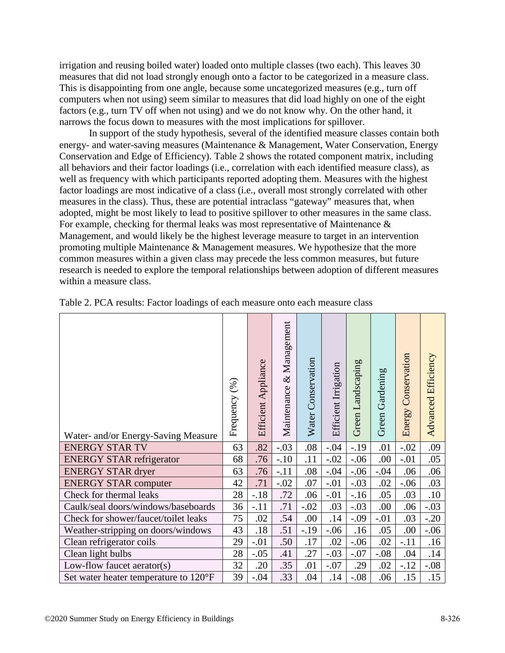irrigation and reusing boiled water) loaded onto multiple classes (two each). This leaves 30 measures that did not load strongly enough onto a factor to be categorized in a measure class. This is disappointing from one angle, because some uncategorized measures (e.g., turn off computers when not using) seem similar to measures that did load highly on one of the eight factors (e.g., turn TV off when not using) and we do not know why. On the other hand, it narrows the focus down to measures with the most implications for spillover.

In support of the study hypothesis, several of the identified measure classes contain both energy- and water-saving measures (Maintenance & Management, Water Conservation, Energy Conservation and Edge of Efficiency). Table 2 shows the rotated component matrix, including all behaviors and their factor loadings (i.e., correlation with each identified measure class), as well as frequency with which participants reported adopting them. Measures with the highest factor loadings are most indicative of a class (i.e., overall most strongly correlated with other measures in the class). Thus, these are potential intraclass "gateway" measures that, when adopted, might be most likely to lead to positive spillover to other measures in the same class. For example, checking for thermal leaks was most representative of Maintenance & Management, and would likely be the highest leverage measure to target in an intervention promoting multiple Maintenance & Management measures. We hypothesize that the more common measures within a given class may precede the less common measures, but future research is needed to explore the temporal relationships between adoption of different measures within a measure class.

| Water- and/or Energy-Saving Measure   | Frequency (%) | Efficient Appliance | Management<br>Maintenance & | Water Conservation | Efficient Irrigation | Green Landscaping | Green Gardening | Conservation<br>Energy | Advanced Efficiency |
|---------------------------------------|---------------|---------------------|-----------------------------|--------------------|----------------------|-------------------|-----------------|------------------------|---------------------|
| <b>ENERGY STAR TV</b>                 | 63            | .82                 | $-.03$                      | .08                | $-.04$               | $-19$             | .01             | $-.02$                 | .09                 |
| <b>ENERGY STAR refrigerator</b>       | 68            | .76                 | $-.10$                      | .11                | $-.02$               | $-.06$            | .00             | $-.01$                 | .05                 |
| <b>ENERGY STAR dryer</b>              | 63            | .76                 | $-.11$                      | .08                | $-.04$               | $-.06$            | $-.04$          | .06                    | .06                 |
| <b>ENERGY STAR computer</b>           | 42            | .71                 | $-.02$                      | .07                | $-.01$               | $-.03$            | .02             | $-.06$                 | .03                 |
| Check for thermal leaks               | 28            | $-.18$              | .72                         | .06                | $-.01$               | $-16$             | .05             | .03                    | .10                 |
| Caulk/seal doors/windows/baseboards   | 36            | $-.11$              | .71                         | $-.02$             | .03                  | $-.03$            | .00             | .06                    | $-.03$              |
| Check for shower/faucet/toilet leaks  | 75            | .02                 | .54                         | .00                | .14                  | $-.09$            | $-.01$          | .03                    | $-.20$              |
| Weather-stripping on doors/windows    | 43            | .18                 | .51                         | $-.19$             | $-.06$               | .16               | .05             | .00                    | $-.06$              |
| Clean refrigerator coils              | 29            | $-.01$              | .50                         | .17                | .02                  | $-.06$            | .02             | $-.11$                 | .16                 |
| Clean light bulbs                     | 28            | $-.05$              | .41                         | .27                | $-.03$               | $-.07$            | $-.08$          | .04                    | .14                 |
| Low-flow faucet aerator(s)            | 32            | .20                 | .35                         | .01                | $-.07$               | .29               | .02             | $-.12$                 | $-.08$              |
| Set water heater temperature to 120°F | 39            | $-.04$              | .33                         | .04                | .14                  | $-.08$            | .06             | .15                    | .15                 |

Table 2. PCA results: Factor loadings of each measure onto each measure class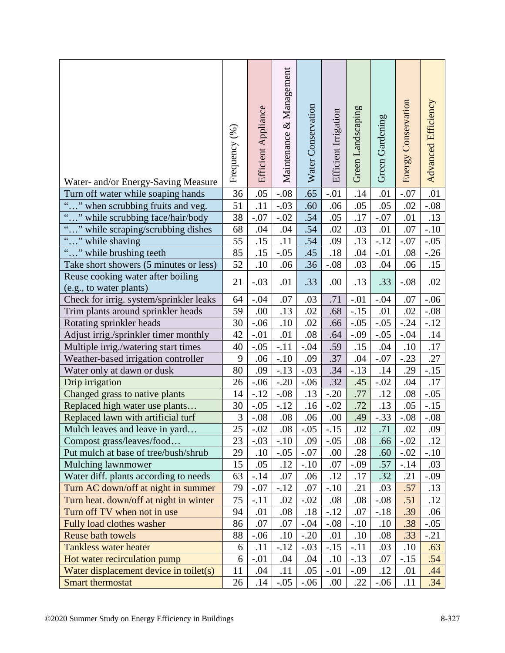| Water- and/or Energy-Saving Measure                          | Frequency (%)   | Efficient Appliance | Maintenance & Management | Water Conservation | Efficient Irrigation | Green Landscaping | Green Gardening | Energy Conservation | Advanced Efficiency |
|--------------------------------------------------------------|-----------------|---------------------|--------------------------|--------------------|----------------------|-------------------|-----------------|---------------------|---------------------|
| Turn off water while soaping hands                           | 36              | .05                 | $-.08$                   | .65                | $-.01$               | .14               | .01             | $-.07$              | .01                 |
| "" when scrubbing fruits and veg.                            | 51              | .11                 | $-.03$                   | .60                | .06                  | .05               | .05             | .02                 | $-.08$              |
| "" while scrubbing face/hair/body                            | 38              | $-.07$              | $-.02$                   | .54                | .05                  | .17               | $-.07$          | .01                 | .13                 |
| " while scraping/scrubbing dishes                            | 68              | .04                 | .04                      | .54                | .02                  | .03               | .01             | .07                 | $-.10$              |
| $\boldsymbol{\zeta} \boldsymbol{\zeta}$<br>" while shaving   | 55              | .15                 | .11                      | .54                | .09                  | .13               | $-.12$          | $-.07$              | $-.05$              |
| "" while brushing teeth                                      | 85              | .15                 | $-.05$                   | .45                | .18                  | .04               | $-.01$          | .08                 | $-.26$              |
| Take short showers (5 minutes or less)                       | 52              | .10                 | .06                      | .36                | $-.08$               | .03               | .04             | .06                 | .15                 |
| Reuse cooking water after boiling<br>(e.g., to water plants) | 21              | $-.03$              | .01                      | .33                | .00                  | .13               | .33             | $-.08$              | .02                 |
| Check for irrig. system/sprinkler leaks                      | 64              | $-.04$              | .07                      | .03                | .71                  | $-.01$            | $-.04$          | .07                 | $-.06$              |
| Trim plants around sprinkler heads                           | 59              | .00                 | .13                      | .02                | .68                  | $-.15$            | .01             | .02                 | $-.08$              |
| Rotating sprinkler heads                                     | 30              | $-.06$              | .10                      | .02                | .66                  | $-.05$            | $-.05$          | $-.24$              | $-.12$              |
| Adjust irrig./sprinkler timer monthly                        | 42              | $-.01$              | .01                      | .08                | .64                  | $-.09$            | $-.05$          | $-.04$              | .14                 |
| Multiple irrig./watering start times                         | 40              | $-.05$              | $-.11$                   | $-.04$             | .59                  | .15               | .04             | .10                 | .17                 |
| Weather-based irrigation controller                          | 9               | .06                 | $-.10$                   | .09                | .37                  | .04               | $-.07$          | $-.23$              | .27                 |
| Water only at dawn or dusk                                   | 80              | .09                 | $-.13$                   | $-.03$             | .34                  | $-.13$            | .14             | .29                 | $-.15$              |
| Drip irrigation                                              | 26              | $-.06$              | $-.20$                   | $-.06$             | .32                  | .45               | $-.02$          | .04                 | .17                 |
| Changed grass to native plants                               | 14              | $-.12$              | $-.08$                   | .13                | $-.20$               | .77               | .12             | .08                 | $-.05$              |
| Replaced high water use plants                               | 30              | $-.05$              | $-.12$                   | .16                | $-.02$               | .72               | .13             | .05                 | $-.15$              |
| Replaced lawn with artificial turf                           | 3               | $-.08$              | .08                      | .06                | .00                  | .49               | $-.33$          | $-.08$              | $-.08$              |
| Mulch leaves and leave in yard                               | $\overline{25}$ | $-.02$              | .08                      | $-.05$             | $-15$                | .02               | .71             | .02                 | .09                 |
| Compost grass/leaves/food                                    | 23              | $-.03$              | $-.10$                   | .09                | $-.05$               | .08               | .66             | $-.02$              | .12                 |
| Put mulch at base of tree/bush/shrub                         | 29              | .10                 | $-.05$                   | $-.07$             | .00                  | .28               | .60             | $-.02$              | $-.10$              |
| Mulching lawnmower                                           | 15              | .05                 | .12                      | $-.10$             | .07                  | $-.09$            | .57             | $-.14$              | .03                 |
| Water diff. plants according to needs                        | 63              | $-.14$              | .07                      | .06                | .12                  | .17               | .32             | .21                 | $-0.09$             |
| Turn AC down/off at night in summer                          | 79              | $-.07$              | $-12$                    | .07                | $-.10$               | .21               | .03             | .57                 | .13                 |
| Turn heat. down/off at night in winter                       | 75              | $-.11$              | .02                      | $-.02$             | .08                  | .08               | $-.08$          | .51                 | .12                 |
| Turn off TV when not in use                                  | 94              | .01                 | .08                      | .18                | $-.12$               | .07               | $-.18$          | .39                 | .06                 |
| Fully load clothes washer                                    | 86              | .07                 | .07                      | $-.04$             | $-.08$               | $-.10$            | .10             | .38                 | $-.05$              |
| <b>Reuse bath towels</b>                                     | 88              | $-.06$              | .10                      | $-.20$             | .01                  | .10               | .08             | .33                 | $-.21$              |
| <b>Tankless water heater</b>                                 | 6               | .11                 | $-.12$                   | $-.03$             | $-.15$               | $-.11$            | .03             | .10                 | .63                 |
| Hot water recirculation pump                                 | 6               | $-.01$              | .04                      | .04                | .10                  | $-.13$            | .07             | $-.15$              | .54                 |
| Water displacement device in toilet(s)                       | 11              | .04                 | .11                      | .05                | $-.01$               | $-.09$            | .12             | .01                 | .44                 |
| Smart thermostat                                             | 26              | .14                 | $-.05$                   | $-.06$             | .00                  | .22               | $-.06$          | .11                 | .34                 |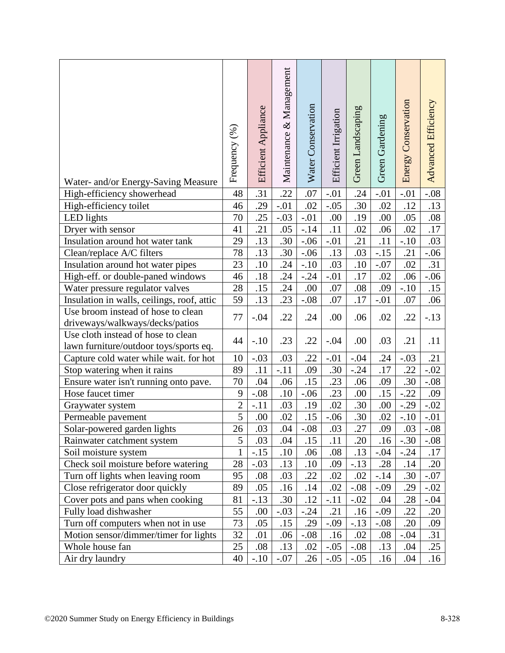|                                                                               | Frequency (%)   | Efficient Appliance | Maintenance & Management | Water Conservation | Efficient Irrigation | Green Landscaping | Green Gardening | Energy Conservation | Advanced Efficiency |
|-------------------------------------------------------------------------------|-----------------|---------------------|--------------------------|--------------------|----------------------|-------------------|-----------------|---------------------|---------------------|
| Water- and/or Energy-Saving Measure                                           |                 |                     |                          |                    |                      |                   |                 |                     |                     |
| High-efficiency showerhead                                                    | 48              | .31                 | .22                      | .07                | $-.01$               | .24<br>.30        | $-.01$          | $-.01$<br>.12       | $-.08$              |
| High-efficiency toilet                                                        | 46              | .29<br>.25          | $-.01$                   | .02<br>$-.01$      | $-.05$               |                   | .02             |                     | .13                 |
| LED lights                                                                    | 70<br>41        | .21                 | $-.03$<br>.05            | $-14$              | .00<br>.11           | .19<br>.02        | .00<br>.06      | .05<br>.02          | .08<br>.17          |
| Dryer with sensor<br>Insulation around hot water tank                         | 29              | .13                 | .30                      | $-.06$             | $-.01$               | .21               | .11             | $-.10$              | .03                 |
|                                                                               | 78              | .13                 | .30                      | $-.06$             | .13                  | .03               | $-.15$          | .21                 | $-.06$              |
| Clean/replace A/C filters<br>Insulation around hot water pipes                | 23              | .10                 | .24                      | $-.10$             | .03                  | .10               | $-.07$          | .02                 | .31                 |
| High-eff. or double-paned windows                                             | 46              | .18                 | .24                      | $-.24$             | $-.01$               | .17               | .02             | .06                 | $-.06$              |
|                                                                               | 28              | .15                 | .24                      | .00                | .07                  | .08               | .09             | $-.10$              | .15                 |
| Water pressure regulator valves<br>Insulation in walls, ceilings, roof, attic | 59              | .13                 | .23                      | $-.08$             | .07                  | .17               | $-.01$          | .07                 | .06                 |
| Use broom instead of hose to clean                                            |                 |                     |                          |                    |                      |                   |                 |                     |                     |
| driveways/walkways/decks/patios                                               | 77              | $-.04$              | .22                      | .24                | .00                  | .06               | .02             | .22                 | $-.13$              |
| Use cloth instead of hose to clean                                            |                 |                     |                          |                    |                      |                   |                 |                     |                     |
| lawn furniture/outdoor toys/sports eq.                                        | 44              | $-.10$              | .23                      | .22                | $-.04$               | .00               | .03             | .21                 | .11                 |
| Capture cold water while wait. for hot                                        | 10              | $-.03$              | .03                      | .22                | $-.01$               | $-.04$            | .24             | $-.03$              | .21                 |
| Stop watering when it rains                                                   | 89              | .11                 | $-.11$                   | .09                | .30                  | $-.24$            | .17             | .22                 | $-.02$              |
| Ensure water isn't running onto pave.                                         | 70              | .04                 | .06                      | .15                | .23                  | .06               | .09             | .30                 | $-.08$              |
| Hose faucet timer                                                             | 9               | $-.08$              | .10                      | $-.06$             | .23                  | .00               | .15             | $-.22$              | .09                 |
| Graywater system                                                              | $\overline{2}$  | $-.11$              | .03                      | .19                | .02                  | .30               | .00             | $-.29$              | $-.02$              |
| Permeable pavement                                                            | 5               | .00                 | .02                      | .15                | $-.06$               | .30               | .02             | $-.10$              | $-.01$              |
| Solar-powered garden lights                                                   | $\overline{26}$ | .03                 | .04                      | $-.08$             | .03                  | .27               | .09             | .03                 | $-0.08$             |
| Rainwater catchment system                                                    | 5               | .03                 | .04                      | .15                | .11                  | .20               | .16             | $-.30$              | $-.08$              |
| Soil moisture system                                                          | $\mathbf{1}$    | $-.15$              | .10                      | .06                | .08                  | .13               | $-.04$          | $-.24$              | .17                 |
| Check soil moisture before watering                                           | 28              | $-.03$              | .13                      | .10                | .09                  | $-.13$            | .28             | .14                 | .20                 |
| Turn off lights when leaving room                                             | 95              | .08                 | .03                      | .22                | .02                  | .02               | $-.14$          | .30                 | $-.07$              |
| Close refrigerator door quickly                                               | 89              | .05                 | .16                      | .14                | .02                  | $-.08$            | $-.09$          | .29                 | $-.02$              |
| Cover pots and pans when cooking                                              | 81              | $-.13$              | .30                      | .12                | $-.11$               | $-.02$            | .04             | .28                 | $-.04$              |
| Fully load dishwasher                                                         | 55              | .00                 | $-.03$                   | $-.24$             | .21                  | .16               | $-.09$          | .22                 | .20                 |
| Turn off computers when not in use                                            | 73              | .05                 | .15                      | .29                | $-.09$               | $-.13$            | $-.08$          | .20                 | .09                 |
| Motion sensor/dimmer/timer for lights                                         | 32              | .01                 | .06                      | $-.08$             | .16                  | .02               | .08             | $-.04$              | .31                 |
| Whole house fan                                                               | 25              | .08                 | .13                      | .02                | $-.05$               | $-.08$            | .13             | .04                 | .25                 |
| Air dry laundry                                                               | 40              | $-.10$              | $-.07$                   | .26                | $-.05$               | $-.05$            | .16             | .04                 | .16                 |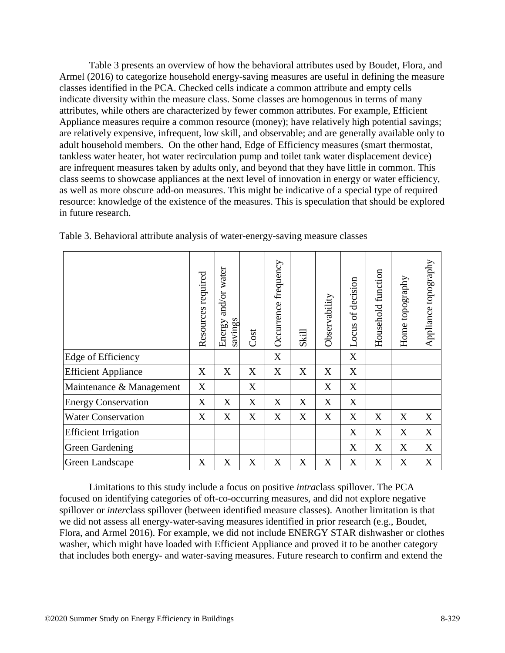Table 3 presents an overview of how the behavioral attributes used by Boudet, Flora, and Armel (2016) to categorize household energy-saving measures are useful in defining the measure classes identified in the PCA. Checked cells indicate a common attribute and empty cells indicate diversity within the measure class. Some classes are homogenous in terms of many attributes, while others are characterized by fewer common attributes. For example, Efficient Appliance measures require a common resource (money); have relatively high potential savings; are relatively expensive, infrequent, low skill, and observable; and are generally available only to adult household members. On the other hand, Edge of Efficiency measures (smart thermostat, tankless water heater, hot water recirculation pump and toilet tank water displacement device) are infrequent measures taken by adults only, and beyond that they have little in common. This class seems to showcase appliances at the next level of innovation in energy or water efficiency, as well as more obscure add-on measures. This might be indicative of a special type of required resource: knowledge of the existence of the measures. This is speculation that should be explored in future research.

|                             | Resources required | and/or water<br>savings<br>Energy | Cost | Occurrence frequency | Skill | Observability | of decision<br>Locus | Household function | Home topography | Appliance topography |
|-----------------------------|--------------------|-----------------------------------|------|----------------------|-------|---------------|----------------------|--------------------|-----------------|----------------------|
| Edge of Efficiency          |                    |                                   |      | X                    |       |               | X                    |                    |                 |                      |
| <b>Efficient Appliance</b>  | X                  | X                                 | X    | X                    | X     | X             | X                    |                    |                 |                      |
| Maintenance & Management    | X                  |                                   | X    |                      |       | X             | X                    |                    |                 |                      |
| <b>Energy Conservation</b>  | X                  | X                                 | X    | X                    | X     | X             | X                    |                    |                 |                      |
| <b>Water Conservation</b>   | X                  | X                                 | X    | X                    | X     | X             | X                    | X                  | X               | X                    |
| <b>Efficient Irrigation</b> |                    |                                   |      |                      |       |               | X                    | X                  | X               | X                    |
| <b>Green Gardening</b>      |                    |                                   |      |                      |       |               | X                    | X                  | X               | X                    |
| Green Landscape             | X                  | X                                 | X    | X                    | X     | X             | X                    | X                  | X               | X                    |

Table 3. Behavioral attribute analysis of water-energy-saving measure classes

Limitations to this study include a focus on positive *intra*class spillover. The PCA focused on identifying categories of oft-co-occurring measures, and did not explore negative spillover or *inter*class spillover (between identified measure classes). Another limitation is that we did not assess all energy-water-saving measures identified in prior research (e.g., Boudet, Flora, and Armel 2016). For example, we did not include ENERGY STAR dishwasher or clothes washer, which might have loaded with Efficient Appliance and proved it to be another category that includes both energy- and water-saving measures. Future research to confirm and extend the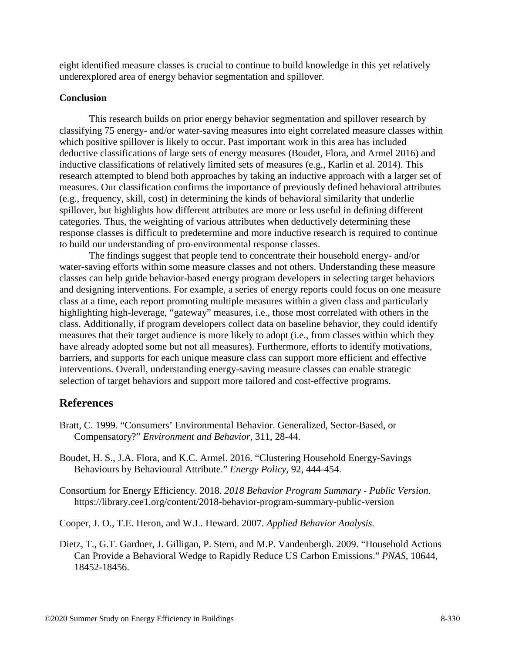eight identified measure classes is crucial to continue to build knowledge in this yet relatively underexplored area of energy behavior segmentation and spillover.

### **Conclusion**

This research builds on prior energy behavior segmentation and spillover research by classifying 75 energy- and/or water-saving measures into eight correlated measure classes within which positive spillover is likely to occur. Past important work in this area has included deductive classifications of large sets of energy measures (Boudet, Flora, and Armel 2016) and inductive classifications of relatively limited sets of measures (e.g., Karlin et al. 2014). This research attempted to blend both approaches by taking an inductive approach with a larger set of measures. Our classification confirms the importance of previously defined behavioral attributes (e.g., frequency, skill, cost) in determining the kinds of behavioral similarity that underlie spillover, but highlights how different attributes are more or less useful in defining different categories. Thus, the weighting of various attributes when deductively determining these response classes is difficult to predetermine and more inductive research is required to continue to build our understanding of pro-environmental response classes.

The findings suggest that people tend to concentrate their household energy- and/or water-saving efforts within some measure classes and not others. Understanding these measure classes can help guide behavior-based energy program developers in selecting target behaviors and designing interventions. For example, a series of energy reports could focus on one measure class at a time, each report promoting multiple measures within a given class and particularly highlighting high-leverage, "gateway" measures, i.e., those most correlated with others in the class. Additionally, if program developers collect data on baseline behavior, they could identify measures that their target audience is more likely to adopt (i.e., from classes within which they have already adopted some but not all measures). Furthermore, efforts to identify motivations, barriers, and supports for each unique measure class can support more efficient and effective interventions. Overall, understanding energy-saving measure classes can enable strategic selection of target behaviors and support more tailored and cost-effective programs.

# **References**

- Bratt, C. 1999. "Consumers' Environmental Behavior. Generalized, Sector-Based, or Compensatory?" *Environment and Behavior,* 311, 28-44.
- Boudet, H. S., J.A. Flora, and K.C. Armel. 2016. "Clustering Household Energy-Savings Behaviours by Behavioural Attribute." *Energy Policy*, 92, 444-454.

Consortium for Energy Efficiency. 2018. *2018 Behavior Program Summary - Public Version.* https://library.cee1.org/content/2018-behavior-program-summary-public-version

Cooper, J. O., T.E. Heron, and W.L. Heward. 2007. *Applied Behavior Analysis.*

Dietz, T., G.T. Gardner, J. Gilligan, P. Stern, and M.P. Vandenbergh. 2009. "Household Actions Can Provide a Behavioral Wedge to Rapidly Reduce US Carbon Emissions." *PNAS*, 10644, 18452-18456.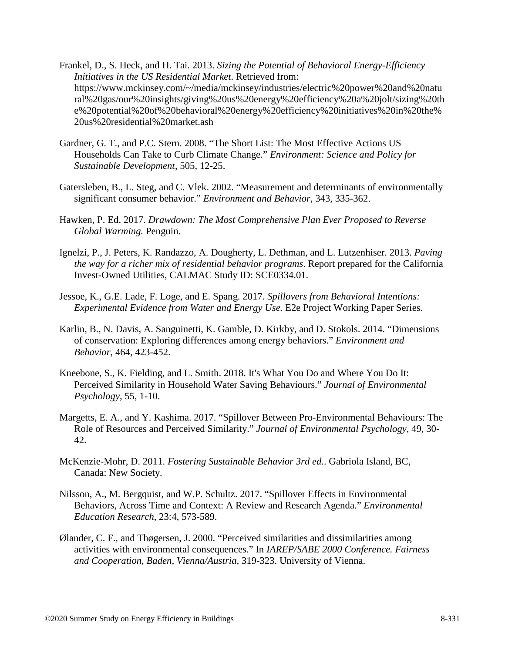- Frankel, D., S. Heck, and H. Tai. 2013. *Sizing the Potential of Behavioral Energy-Efficiency Initiatives in the US Residential Market*. Retrieved from: https://www.mckinsey.com/~/media/mckinsey/industries/electric%20power%20and%20natu ral%20gas/our%20insights/giving%20us%20energy%20efficiency%20a%20jolt/sizing%20th e%20potential%20of%20behavioral%20energy%20efficiency%20initiatives%20in%20the% 20us%20residential%20market.ash
- Gardner, G. T., and P.C. Stern. 2008. "The Short List: The Most Effective Actions US Households Can Take to Curb Climate Change." *Environment: Science and Policy for Sustainable Development*, 505, 12-25.
- Gatersleben, B., L. Steg, and C. Vlek. 2002. "Measurement and determinants of environmentally significant consumer behavior." *Environment and Behavior*, 343, 335-362.
- Hawken, P. Ed. 2017. *Drawdown: The Most Comprehensive Plan Ever Proposed to Reverse Global Warming.* Penguin.
- Ignelzi, P., J. Peters, K. Randazzo, A. Dougherty, L. Dethman, and L. Lutzenhiser. 2013. *Paving the way for a richer mix of residential behavior programs*. Report prepared for the California Invest-Owned Utilities, CALMAC Study ID: SCE0334.01.
- Jessoe, K., G.E. Lade, F. Loge, and E. Spang. 2017. *Spillovers from Behavioral Intentions: Experimental Evidence from Water and Energy Use.* E2e Project Working Paper Series.
- Karlin, B., N. Davis, A. Sanguinetti, K. Gamble, D. Kirkby, and D. Stokols. 2014. "Dimensions of conservation: Exploring differences among energy behaviors." *Environment and Behavior*, 464, 423-452.
- Kneebone, S., K. Fielding, and L. Smith. 2018. It's What You Do and Where You Do It: Perceived Similarity in Household Water Saving Behaviours." *Journal of Environmental Psychology*, 55, 1-10.
- Margetts, E. A., and Y. Kashima. 2017. "Spillover Between Pro-Environmental Behaviours: The Role of Resources and Perceived Similarity." *Journal of Environmental Psychology*, 49, 30- 42.
- McKenzie-Mohr, D. 2011. *Fostering Sustainable Behavior 3rd ed.*. Gabriola Island, BC, Canada: New Society.
- Nilsson, A., M. Bergquist, and W.P. Schultz. 2017. "Spillover Effects in Environmental Behaviors, Across Time and Context: A Review and Research Agenda." *Environmental Education Research*, 23:4, 573-589.
- Ølander, C. F., and Thøgersen, J. 2000. "Perceived similarities and dissimilarities among activities with environmental consequences." In *IAREP/SABE 2000 Conference. Fairness and Cooperation, Baden, Vienna/Austria,* 319-323. University of Vienna.